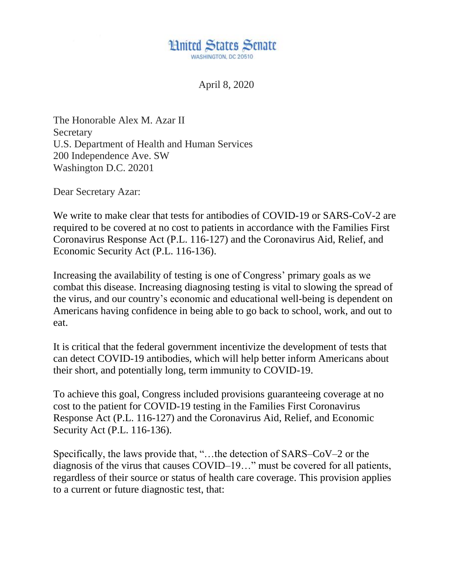

April 8, 2020

The Honorable Alex M. Azar II **Secretary** U.S. Department of Health and Human Services 200 Independence Ave. SW Washington D.C. 20201

Dear Secretary Azar:

We write to make clear that tests for antibodies of COVID-19 or SARS-CoV-2 are required to be covered at no cost to patients in accordance with the Families First Coronavirus Response Act (P.L. 116-127) and the Coronavirus Aid, Relief, and Economic Security Act (P.L. 116-136).

Increasing the availability of testing is one of Congress' primary goals as we combat this disease. Increasing diagnosing testing is vital to slowing the spread of the virus, and our country's economic and educational well-being is dependent on Americans having confidence in being able to go back to school, work, and out to eat.

It is critical that the federal government incentivize the development of tests that can detect COVID-19 antibodies, which will help better inform Americans about their short, and potentially long, term immunity to COVID-19.

To achieve this goal, Congress included provisions guaranteeing coverage at no cost to the patient for COVID-19 testing in the Families First Coronavirus Response Act (P.L. 116-127) and the Coronavirus Aid, Relief, and Economic Security Act (P.L. 116-136).

Specifically, the laws provide that, "…the detection of SARS–CoV–2 or the diagnosis of the virus that causes COVID–19…" must be covered for all patients, regardless of their source or status of health care coverage. This provision applies to a current or future diagnostic test, that: